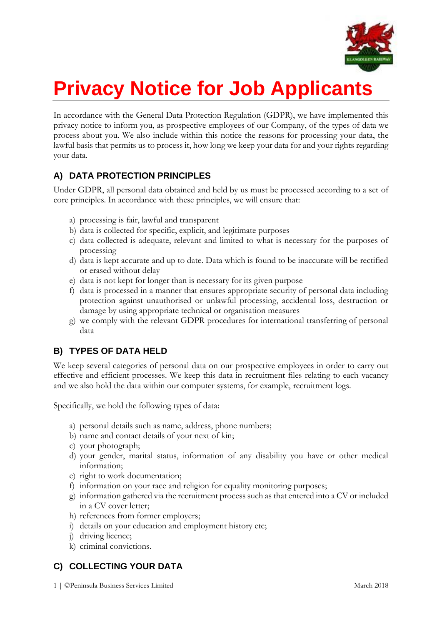

# **Privacy Notice for Job Applicants**

In accordance with the General Data Protection Regulation (GDPR), we have implemented this privacy notice to inform you, as prospective employees of our Company, of the types of data we process about you. We also include within this notice the reasons for processing your data, the lawful basis that permits us to process it, how long we keep your data for and your rights regarding your data.

# **A) DATA PROTECTION PRINCIPLES**

Under GDPR, all personal data obtained and held by us must be processed according to a set of core principles. In accordance with these principles, we will ensure that:

- a) processing is fair, lawful and transparent
- b) data is collected for specific, explicit, and legitimate purposes
- c) data collected is adequate, relevant and limited to what is necessary for the purposes of processing
- d) data is kept accurate and up to date. Data which is found to be inaccurate will be rectified or erased without delay
- e) data is not kept for longer than is necessary for its given purpose
- f) data is processed in a manner that ensures appropriate security of personal data including protection against unauthorised or unlawful processing, accidental loss, destruction or damage by using appropriate technical or organisation measures
- g) we comply with the relevant GDPR procedures for international transferring of personal data

# **B) TYPES OF DATA HELD**

We keep several categories of personal data on our prospective employees in order to carry out effective and efficient processes. We keep this data in recruitment files relating to each vacancy and we also hold the data within our computer systems, for example, recruitment logs.

Specifically, we hold the following types of data:

- a) personal details such as name, address, phone numbers;
- b) name and contact details of your next of kin;
- c) your photograph;
- d) your gender, marital status, information of any disability you have or other medical information;
- e) right to work documentation;
- f) information on your race and religion for equality monitoring purposes;
- g) information gathered via the recruitment process such as that entered into a CV or included in a CV cover letter;
- h) references from former employers;
- i) details on your education and employment history etc;
- j) driving licence;
- k) criminal convictions.

# **C) COLLECTING YOUR DATA**

1 | ©Peninsula Business Services Limited March 2018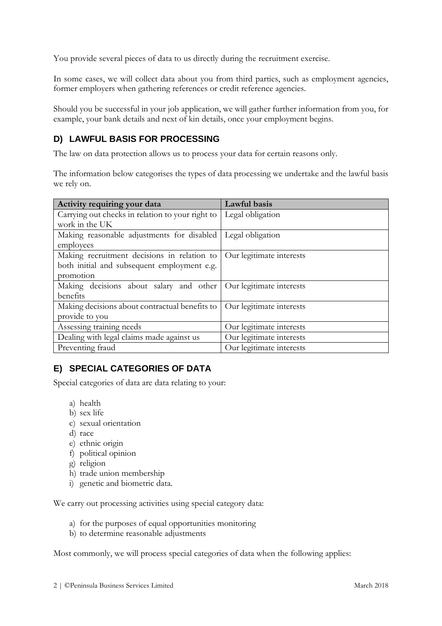You provide several pieces of data to us directly during the recruitment exercise.

In some cases, we will collect data about you from third parties, such as employment agencies, former employers when gathering references or credit reference agencies.

Should you be successful in your job application, we will gather further information from you, for example, your bank details and next of kin details, once your employment begins.

# **D) LAWFUL BASIS FOR PROCESSING**

The law on data protection allows us to process your data for certain reasons only.

The information below categorises the types of data processing we undertake and the lawful basis we rely on.

| Activity requiring your data                     | Lawful basis             |
|--------------------------------------------------|--------------------------|
| Carrying out checks in relation to your right to | Legal obligation         |
| work in the UK                                   |                          |
| Making reasonable adjustments for disabled       | Legal obligation         |
| employees                                        |                          |
| Making recruitment decisions in relation to      | Our legitimate interests |
| both initial and subsequent employment e.g.      |                          |
| promotion                                        |                          |
| Making decisions about salary and other          | Our legitimate interests |
| benefits                                         |                          |
| Making decisions about contractual benefits to   | Our legitimate interests |
| provide to you                                   |                          |
| Assessing training needs                         | Our legitimate interests |
| Dealing with legal claims made against us        | Our legitimate interests |
| Preventing fraud                                 | Our legitimate interests |

# **E) SPECIAL CATEGORIES OF DATA**

Special categories of data are data relating to your:

- a) health
- b) sex life
- c) sexual orientation
- d) race
- e) ethnic origin
- f) political opinion
- g) religion
- h) trade union membership
- i) genetic and biometric data.

We carry out processing activities using special category data:

- a) for the purposes of equal opportunities monitoring
- b) to determine reasonable adjustments

Most commonly, we will process special categories of data when the following applies: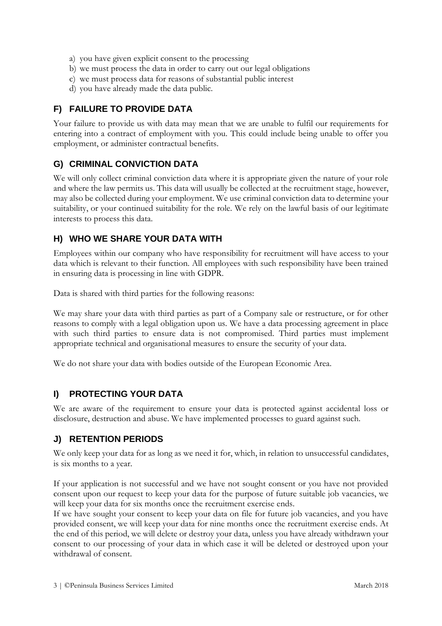- a) you have given explicit consent to the processing
- b) we must process the data in order to carry out our legal obligations
- c) we must process data for reasons of substantial public interest
- d) you have already made the data public.

## **F) FAILURE TO PROVIDE DATA**

Your failure to provide us with data may mean that we are unable to fulfil our requirements for entering into a contract of employment with you. This could include being unable to offer you employment, or administer contractual benefits.

#### **G) CRIMINAL CONVICTION DATA**

We will only collect criminal conviction data where it is appropriate given the nature of your role and where the law permits us. This data will usually be collected at the recruitment stage, however, may also be collected during your employment. We use criminal conviction data to determine your suitability, or your continued suitability for the role. We rely on the lawful basis of our legitimate interests to process this data.

#### **H) WHO WE SHARE YOUR DATA WITH**

Employees within our company who have responsibility for recruitment will have access to your data which is relevant to their function. All employees with such responsibility have been trained in ensuring data is processing in line with GDPR.

Data is shared with third parties for the following reasons:

We may share your data with third parties as part of a Company sale or restructure, or for other reasons to comply with a legal obligation upon us. We have a data processing agreement in place with such third parties to ensure data is not compromised. Third parties must implement appropriate technical and organisational measures to ensure the security of your data.

We do not share your data with bodies outside of the European Economic Area.

## **I) PROTECTING YOUR DATA**

We are aware of the requirement to ensure your data is protected against accidental loss or disclosure, destruction and abuse. We have implemented processes to guard against such.

## **J) RETENTION PERIODS**

We only keep your data for as long as we need it for, which, in relation to unsuccessful candidates, is six months to a year.

If your application is not successful and we have not sought consent or you have not provided consent upon our request to keep your data for the purpose of future suitable job vacancies, we will keep your data for six months once the recruitment exercise ends.

If we have sought your consent to keep your data on file for future job vacancies, and you have provided consent, we will keep your data for nine months once the recruitment exercise ends. At the end of this period, we will delete or destroy your data, unless you have already withdrawn your consent to our processing of your data in which case it will be deleted or destroyed upon your withdrawal of consent.